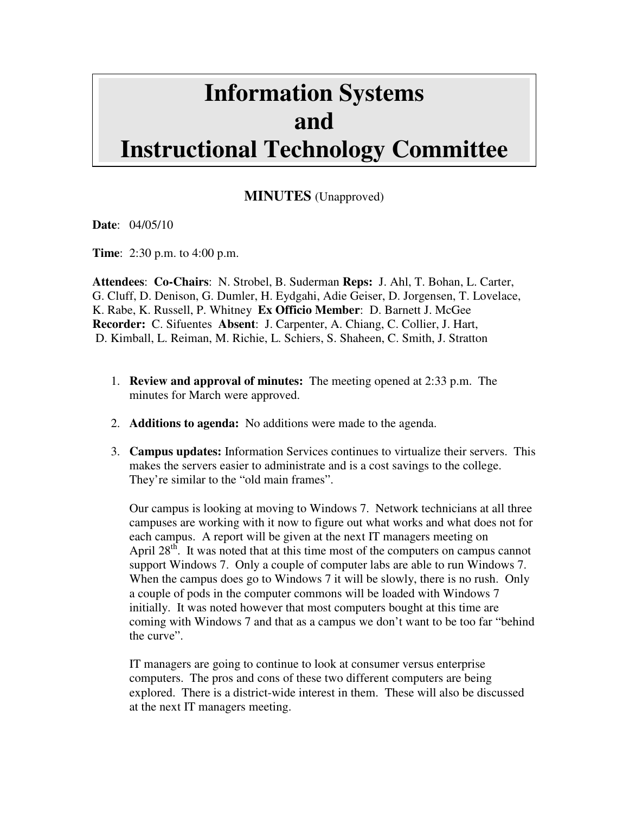## **Information Systems and Instructional Technology Committee**

**MINUTES** (Unapproved)

**Date**: 04/05/10

**Time**: 2:30 p.m. to 4:00 p.m.

**Attendees**: **Co-Chairs**: N. Strobel, B. Suderman **Reps:** J. Ahl, T. Bohan, L. Carter, G. Cluff, D. Denison, G. Dumler, H. Eydgahi, Adie Geiser, D. Jorgensen, T. Lovelace, K. Rabe, K. Russell, P. Whitney **Ex Officio Member**: D. Barnett J. McGee **Recorder:** C. Sifuentes **Absent**: J. Carpenter, A. Chiang, C. Collier, J. Hart, D. Kimball, L. Reiman, M. Richie, L. Schiers, S. Shaheen, C. Smith, J. Stratton

- 1. **Review and approval of minutes:** The meeting opened at 2:33 p.m. The minutes for March were approved.
- 2. **Additions to agenda:** No additions were made to the agenda.
- 3. **Campus updates:** Information Services continues to virtualize their servers. This makes the servers easier to administrate and is a cost savings to the college. They're similar to the "old main frames".

Our campus is looking at moving to Windows 7. Network technicians at all three campuses are working with it now to figure out what works and what does not for each campus. A report will be given at the next IT managers meeting on April 28<sup>th</sup>. It was noted that at this time most of the computers on campus cannot support Windows 7. Only a couple of computer labs are able to run Windows 7. When the campus does go to Windows 7 it will be slowly, there is no rush. Only a couple of pods in the computer commons will be loaded with Windows 7 initially. It was noted however that most computers bought at this time are coming with Windows 7 and that as a campus we don't want to be too far "behind the curve".

IT managers are going to continue to look at consumer versus enterprise computers. The pros and cons of these two different computers are being explored. There is a district-wide interest in them. These will also be discussed at the next IT managers meeting.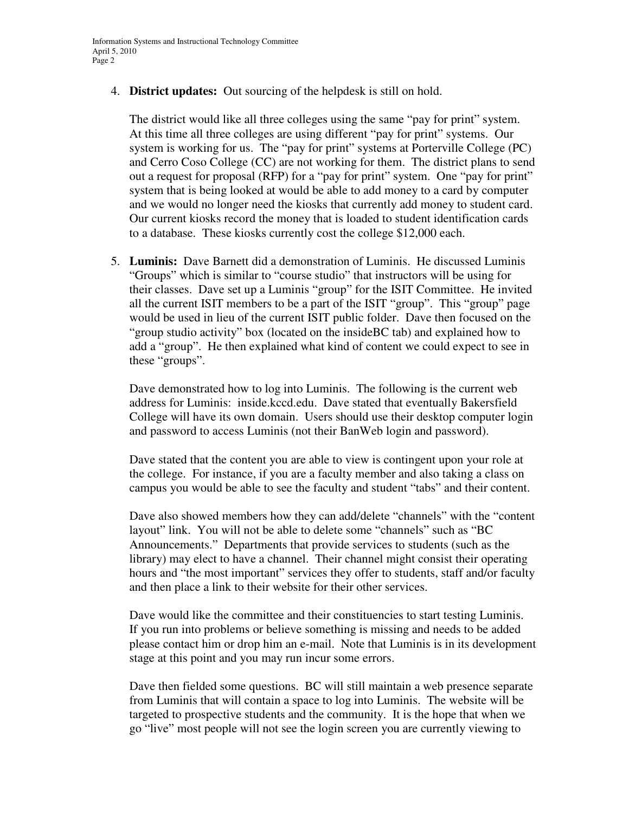4. **District updates:** Out sourcing of the helpdesk is still on hold.

The district would like all three colleges using the same "pay for print" system. At this time all three colleges are using different "pay for print" systems. Our system is working for us. The "pay for print" systems at Porterville College (PC) and Cerro Coso College (CC) are not working for them. The district plans to send out a request for proposal (RFP) for a "pay for print" system. One "pay for print" system that is being looked at would be able to add money to a card by computer and we would no longer need the kiosks that currently add money to student card. Our current kiosks record the money that is loaded to student identification cards to a database. These kiosks currently cost the college \$12,000 each.

5. **Luminis:** Dave Barnett did a demonstration of Luminis. He discussed Luminis "Groups" which is similar to "course studio" that instructors will be using for their classes. Dave set up a Luminis "group" for the ISIT Committee. He invited all the current ISIT members to be a part of the ISIT "group". This "group" page would be used in lieu of the current ISIT public folder. Dave then focused on the "group studio activity" box (located on the insideBC tab) and explained how to add a "group". He then explained what kind of content we could expect to see in these "groups".

Dave demonstrated how to log into Luminis. The following is the current web address for Luminis: inside.kccd.edu. Dave stated that eventually Bakersfield College will have its own domain. Users should use their desktop computer login and password to access Luminis (not their BanWeb login and password).

Dave stated that the content you are able to view is contingent upon your role at the college. For instance, if you are a faculty member and also taking a class on campus you would be able to see the faculty and student "tabs" and their content.

Dave also showed members how they can add/delete "channels" with the "content layout" link. You will not be able to delete some "channels" such as "BC Announcements." Departments that provide services to students (such as the library) may elect to have a channel. Their channel might consist their operating hours and "the most important" services they offer to students, staff and/or faculty and then place a link to their website for their other services.

Dave would like the committee and their constituencies to start testing Luminis. If you run into problems or believe something is missing and needs to be added please contact him or drop him an e-mail. Note that Luminis is in its development stage at this point and you may run incur some errors.

Dave then fielded some questions. BC will still maintain a web presence separate from Luminis that will contain a space to log into Luminis. The website will be targeted to prospective students and the community. It is the hope that when we go "live" most people will not see the login screen you are currently viewing to